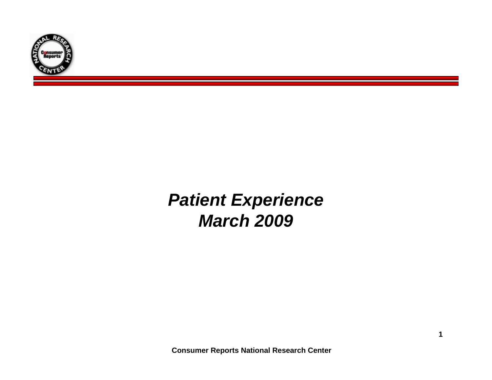

# *Patient Experience March 2009*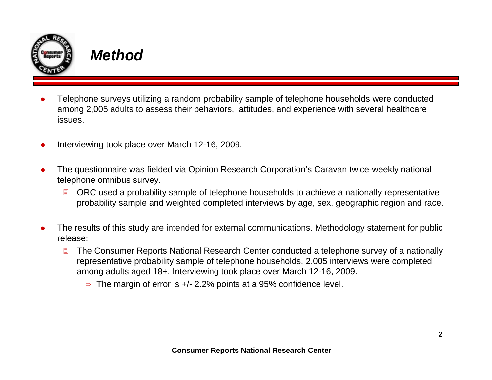

### *Method*

- O Telephone surveys utilizing a random probability sample of telephone households were conducted among 2,005 adults to assess their behaviors, attitudes, and experience with several healthcare issues.
- O Interviewing took place over March 12-16, 2009.
- O The questionnaire was fielded via Opinion Research Corporation's Caravan twice-weekly national telephone omnibus survey.
	- 冒 ORC used a probability sample of telephone households to achieve a nationally representative probability sample and weighted completed interviews by age, sex, geographic region and race.
- O The results of this study are intended for external communications. Methodology statement for public release:
	- 圓 The Consumer Reports National Research Center conducted a telephone survey of a nationally representative probability sample of telephone households. 2,005 interviews were completed among adults aged 18+. Interviewing took place over March 12-16, 2009.
		- $\Rightarrow$  The margin of error is +/- 2.2% points at a 95% confidence level.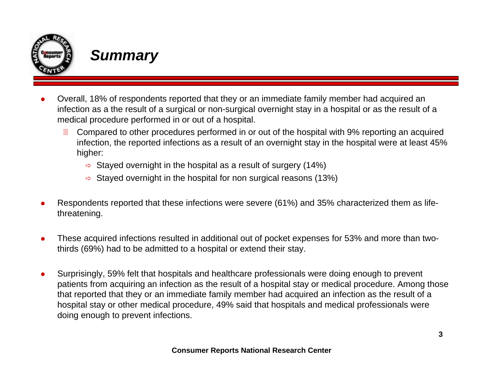

### *Summary*

- O Overall, 18% of respondents reported that they or an immediate family member had acquired an infection as a the result of a surgical or non-surgical overnight stay in a hospital or as the result of a medical procedure performed in or out of a hospital.
	- 圓 Compared to other procedures performed in or out of the hospital with 9% reporting an acquired infection, the reported infections as a result of an overnight stay in the hospital were at least 45% higher:
		- $\Rightarrow$  Stayed overnight in the hospital as a result of surgery (14%)
		- $\Rightarrow$  Stayed overnight in the hospital for non surgical reasons (13%)
- O Respondents reported that these infections were severe (61%) and 35% characterized them as lifethreatening.
- O These acquired infections resulted in additional out of pocket expenses for 53% and more than twothirds (69%) had to be admitted to a hospital or extend their stay.
- O Surprisingly, 59% felt that hospitals and healthcare professionals were doing enough to prevent patients from acquiring an infection as the result of a hospital stay or medical procedure. Among those that reported that they or an immediate family member had acquired an infection as the result of a hospital stay or other medical procedure, 49% said that hospitals and medical professionals were doing enough to prevent infections.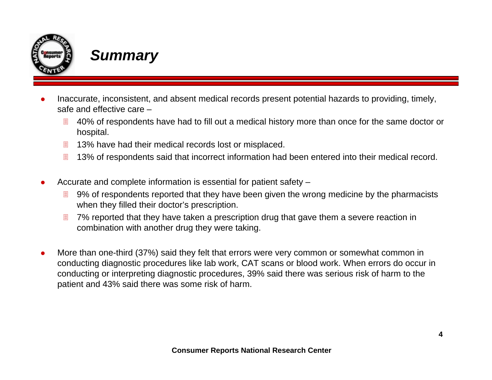

### *Summary*

- O Inaccurate, inconsistent, and absent medical records present potential hazards to providing, timely, safe and effective care –
	- $\Box$  40% of respondents have had to fill out a medical history more than once for the same doctor or hospital.
	- ▤ 13% have had their medical records lost or misplaced.
	- 圓 13% of respondents said that incorrect information had been entered into their medical record.
- O Accurate and complete information is essential for patient safety –
	- 圓 9% of respondents reported that they have been given the wrong medicine by the pharmacists when they filled their doctor's prescription.
	- 圓 7% reported that they have taken a prescription drug that gave them a severe reaction in combination with another drug they were taking.
- O More than one-third (37%) said they felt that errors were very common or somewhat common in conducting diagnostic procedures like lab work, CAT scans or blood work. When errors do occur in conducting or interpreting diagnostic procedures, 39% said there was serious risk of harm to the patient and 43% said there was some risk of harm.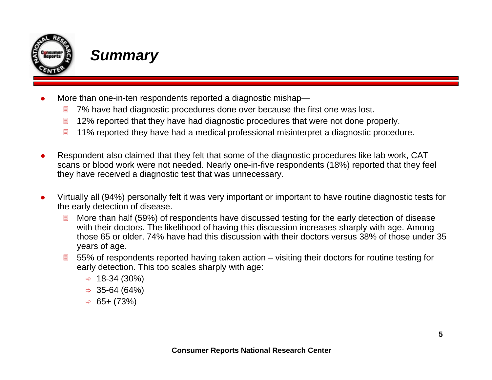

### *Summary*

- O More than one-in-ten respondents reported a diagnostic mishap—
	- 圓 7% have had diagnostic procedures done over because the first one was lost.
	- 目 12% reported that they have had diagnostic procedures that were not done properly.
	- 圓 11% reported they have had a medical professional misinterpret a diagnostic procedure.
- $\bullet$  Respondent also claimed that they felt that some of the diagnostic procedures like lab work, CAT scans or blood work were not needed. Nearly one-in-five respondents (18%) reported that they feel they have received a diagnostic test that was unnecessary.
- $\bullet$  Virtually all (94%) personally felt it was very important or important to have routine diagnostic tests for the early detection of disease.
	- 圓 More than half (59%) of respondents have discussed testing for the early detection of disease with their doctors. The likelihood of having this discussion increases sharply with age. Among those 65 or older, 74% have had this discussion with their doctors versus 38% of those under 35 years of age.
	- $\blacksquare$  55% of respondents reported having taken action – visiting their doctors for routine testing for early detection. This too scales sharply with age:
		- $\Rightarrow$  18-34 (30%)
		- $\Rightarrow$  35-64 (64%)
		- $\Rightarrow$  65+ (73%)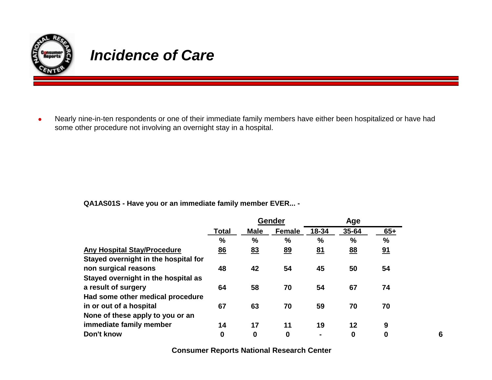

## *Incidence of Care*

 $\bullet$  Nearly nine-in-ten respondents or one of their immediate family members have either been hospitalized or have had some other procedure not involving an overnight stay in a hospital.

**QA1AS01S - Have you or an immediate family member EVER... -** 

|                                      |                  | Gender        |               |               | Age           |           |  |
|--------------------------------------|------------------|---------------|---------------|---------------|---------------|-----------|--|
|                                      | <b>Total</b>     | <b>Male</b>   | <b>Female</b> | 18-34         | 35-64         | $65+$     |  |
|                                      | %                | $\frac{0}{0}$ | %             | $\frac{0}{0}$ | $\frac{0}{0}$ | %         |  |
| <b>Any Hospital Stay/Procedure</b>   | <u>86</u>        | 83            | <u>89</u>     | <u>81</u>     | <u>88</u>     | <u>91</u> |  |
| Stayed overnight in the hospital for |                  |               |               |               |               |           |  |
| non surgical reasons                 | 48               | 42            | 54            | 45            | 50            | 54        |  |
| Stayed overnight in the hospital as  |                  |               |               |               |               |           |  |
| a result of surgery                  | 64               | 58            | 70            | 54            | 67            | 74        |  |
| Had some other medical procedure     |                  |               |               |               |               |           |  |
| in or out of a hospital              | 67               | 63            | 70            | 59            | 70            | 70        |  |
| None of these apply to you or an     |                  |               |               |               |               |           |  |
| immediate family member              | 14               | 17            | 11            | 19            | 12            | 9         |  |
| Don't know                           | $\boldsymbol{0}$ | 0             | $\bf{0}$      | ۰             | 0             | 0         |  |

**6**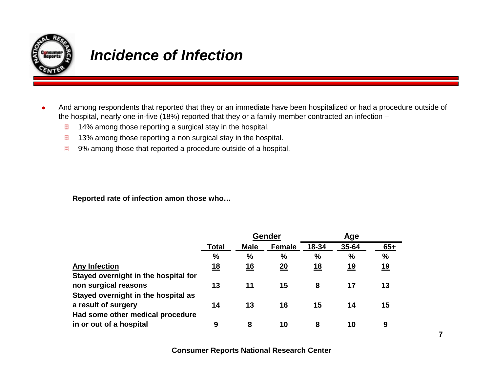

## *Incidence of Infection*

- $\bullet$  And among respondents that reported that they or an immediate have been hospitalized or had a procedure outside of the hospital, nearly one-in-five (18%) reported that they or a family member contracted an infection –
	- $\blacksquare$ 14% among those reporting a surgical stay in the hospital.
	- 冒 13% among those reporting a non surgical stay in the hospital.
	- $\blacksquare$ 9% among those that reported a procedure outside of a hospital.

**Reported rate of infection amon those who…**

|                                      | <b>Gender</b> |             |                 | Age       |               |               |
|--------------------------------------|---------------|-------------|-----------------|-----------|---------------|---------------|
|                                      | <b>Total</b>  | <b>Male</b> | <b>Female</b>   | 18-34     | 35-64         | $65+$         |
|                                      | $\frac{0}{0}$ | %           | $\frac{0}{0}$   | %         | $\frac{0}{0}$ | $\frac{9}{6}$ |
| <b>Any Infection</b>                 | 18            | 16          | $\overline{20}$ | <u>18</u> | <u>19</u>     | 19            |
| Stayed overnight in the hospital for |               |             |                 |           |               |               |
| non surgical reasons                 | 13            | 11          | 15              | 8         | 17            | 13            |
| Stayed overnight in the hospital as  |               |             |                 |           |               |               |
| a result of surgery                  | 14            | 13          | 16              | 15        | 14            | 15            |
| Had some other medical procedure     |               |             |                 |           |               |               |
| in or out of a hospital              | 9             | 8           | 10              | 8         | 10            | 9             |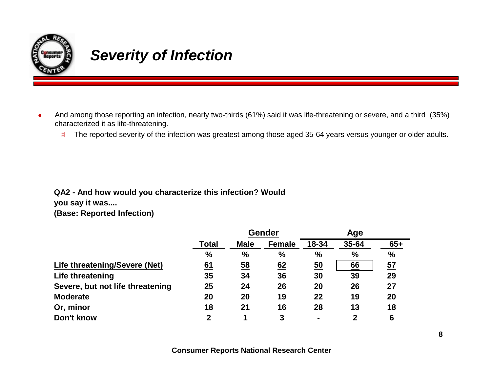

## *Severity of Infection*

- $\bullet$  And among those reporting an infection, nearly two-thirds (61%) said it was life-threatening or severe, and a third (35%) characterized it as life-threatening.
	- $\boxed{\phantom{1}}$ The reported severity of the infection was greatest among those aged 35-64 years versus younger or older adults.

#### **QA2 - And how would you characterize this infection? Would**

**you say it was....**

**(Base: Reported Infection)**

|                                  |              | Gender      |               | Age   |              |               |
|----------------------------------|--------------|-------------|---------------|-------|--------------|---------------|
|                                  | <b>Total</b> | <b>Male</b> | <b>Female</b> | 18-34 | 35-64        | $65+$         |
|                                  | $\%$         | $\%$        | $\frac{0}{0}$ | %     | %            | $\frac{1}{2}$ |
| Life threatening/Severe (Net)    | 61           | <u>58</u>   | 62            | 50    | 66           | <u>57</u>     |
| Life threatening                 | 35           | 34          | 36            | 30    | 39           | 29            |
| Severe, but not life threatening | 25           | 24          | 26            | 20    | 26           | 27            |
| <b>Moderate</b>                  | 20           | 20          | 19            | 22    | 19           | 20            |
| Or, minor                        | 18           | 21          | 16            | 28    | 13           | 18            |
| Don't know                       | $\mathbf 2$  | 1           | 3             |       | $\mathbf{2}$ | 6             |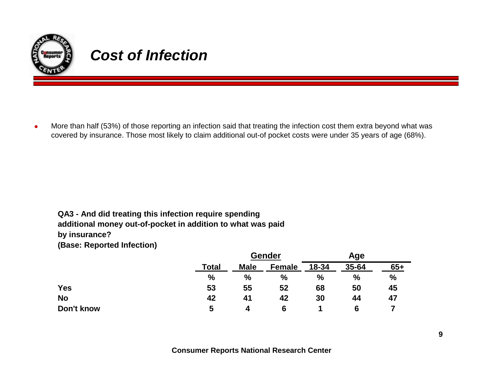

## *Cost of Infection*

 $\bullet$  More than half (53%) of those reporting an infection said that treating the infection cost them extra beyond what was covered by insurance. Those most likely to claim additional out-of pocket costs were under 35 years of age (68%).

#### **QA3 - And did treating this infection require spending additional money out-of-pocket in addition to what was paid by insurance?**

**(Base: Reported Infection)**

|            |       | <b>Gender</b> |               | Age   |       |       |
|------------|-------|---------------|---------------|-------|-------|-------|
|            | Total | <b>Male</b>   | <b>Female</b> | 18-34 | 35-64 | $65+$ |
|            | %     | $\%$          | $\frac{0}{0}$ | $\%$  | $\%$  | $\%$  |
| <b>Yes</b> | 53    | 55            | 52            | 68    | 50    | 45    |
| <b>No</b>  | 42    | 41            | 42            | 30    | 44    | 47    |
| Don't know | 5     | 4             | 6             |       | 6     |       |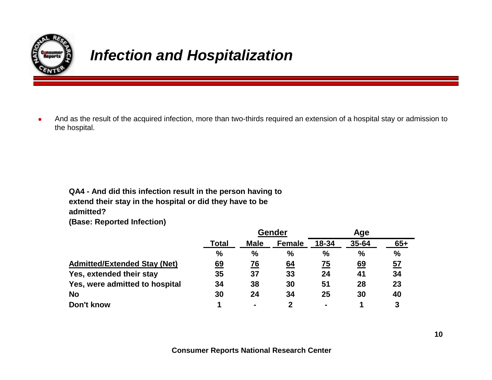

## *Infection and Hospitalization*

 $\bullet$  And as the result of the acquired infection, more than two-thirds required an extension of a hospital stay or admission to the hospital.

**QA4 - And did this infection result in the person having to extend their stay in the hospital or did they have to be admitted?**

**(Base: Reported Infection)**

|                                     |               | Gender         |                  | Age            |               |       |
|-------------------------------------|---------------|----------------|------------------|----------------|---------------|-------|
|                                     | Total         | <b>Male</b>    | <b>Female</b>    | 18-34          | 35-64         | $65+$ |
|                                     | $\frac{0}{0}$ | %              | $\frac{0}{0}$    | $\%$           | $\frac{0}{0}$ | $\%$  |
| <b>Admitted/Extended Stay (Net)</b> | 69            | 76             | $\underline{64}$ | 75             | <u>69</u>     | 57    |
| Yes, extended their stay            | 35            | 37             | 33               | 24             | 41            | 34    |
| Yes, were admitted to hospital      | 34            | 38             | 30               | 51             | 28            | 23    |
| <b>No</b>                           | 30            | 24             | 34               | 25             | 30            | 40    |
| Don't know                          |               | $\blacksquare$ |                  | $\blacksquare$ |               | 3     |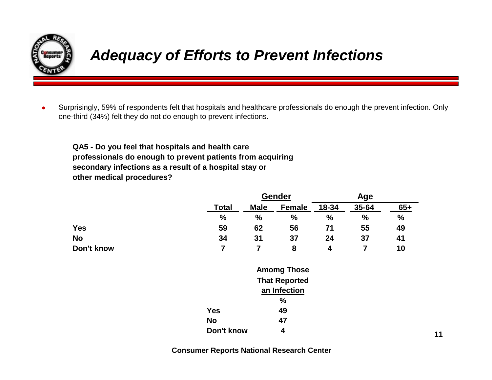

## *Adequacy of Efforts to Prevent Infections*

 $\bullet$  Surprisingly, 59% of respondents felt that hospitals and healthcare professionals do enough the prevent infection. Only one-third (34%) felt they do not do enough to prevent infections.

**QA5 - Do you feel that hospitals and health care professionals do enough to prevent patients from acquiring secondary infections as a result of a hospital stay or other medical procedures?**

|            |                    |               | Gender               |       | Age            |       |  |
|------------|--------------------|---------------|----------------------|-------|----------------|-------|--|
|            | <b>Total</b>       | <b>Male</b>   | <b>Female</b>        | 18-34 | 35-64          | $65+$ |  |
|            | $\frac{0}{0}$      | $\frac{0}{0}$ | %                    | %     | $\frac{0}{0}$  | $\%$  |  |
| <b>Yes</b> | 59                 | 62            | 56                   | 71    | 55             | 49    |  |
| <b>No</b>  | 34                 | 31            | 37                   | 24    | 37             | 41    |  |
| Don't know | $\overline{7}$     | 7             | 8                    | 4     | $\overline{7}$ | 10    |  |
|            | <b>Amomg Those</b> |               |                      |       |                |       |  |
|            |                    |               | <b>That Reported</b> |       |                |       |  |
|            |                    |               | an Infection         |       |                |       |  |
|            |                    |               | %                    |       |                |       |  |
|            | <b>Yes</b>         | 49            |                      |       |                |       |  |
|            | <b>No</b>          |               | 47                   |       |                |       |  |
|            | Don't know         |               | 4                    |       |                |       |  |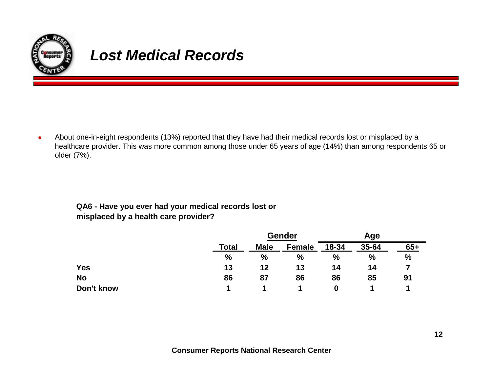

## *Lost Medical Records*

 $\bullet$  About one-in-eight respondents (13%) reported that they have had their medical records lost or misplaced by a healthcare provider. This was more common among those under 65 years of age (14%) than among respondents 65 or older (7%).

#### **QA6 - Have you ever had your medical records lost or misplaced by a health care provider?**

|            |       |               | <b>Gender</b> |       | Age   |       |  |
|------------|-------|---------------|---------------|-------|-------|-------|--|
|            | Total | <b>Male</b>   | <b>Female</b> | 18-34 | 35-64 | $65+$ |  |
|            | $\%$  | $\frac{0}{0}$ | $\frac{0}{0}$ | %     | $\%$  | $\%$  |  |
| <b>Yes</b> | 13    | 12            | 13            | 14    | 14    |       |  |
| <b>No</b>  | 86    | 87            | 86            | 86    | 85    | 91    |  |
| Don't know |       |               |               | 0     |       |       |  |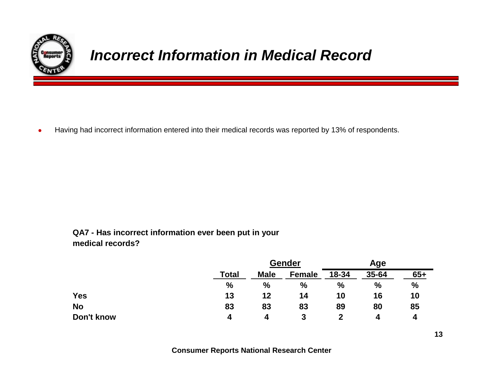

## *Incorrect Information in Medical Record*

 $\bullet$ Having had incorrect information entered into their medical records was reported by 13% of respondents.

#### **QA7 - Has incorrect information ever been put in your medical records?**

|            |              | <b>Gender</b> |               | Age   |       |       |
|------------|--------------|---------------|---------------|-------|-------|-------|
|            | <b>Total</b> | <b>Male</b>   | <b>Female</b> | 18-34 | 35-64 | $65+$ |
|            | %            | $\frac{0}{0}$ | $\frac{0}{0}$ | $\%$  | $\%$  | $\%$  |
| <b>Yes</b> | 13           | 12            | 14            | 10    | 16    | 10    |
| <b>No</b>  | 83           | 83            | 83            | 89    | 80    | 85    |
| Don't know | 4            | 4             | 3             |       | 4     | 4     |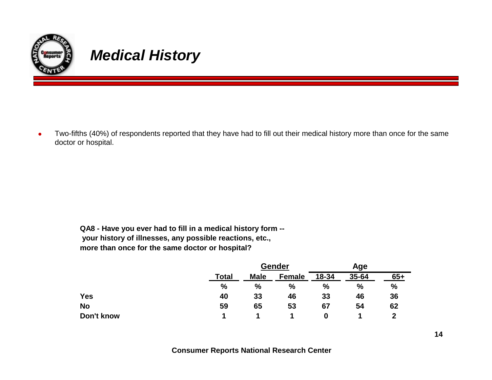

 $\bullet$  Two-fifths (40%) of respondents reported that they have had to fill out their medical history more than once for the same doctor or hospital.

**QA8 - Have you ever had to fill in a medical history form - your history of illnesses, any possible reactions, etc., more than once for the same doctor or hospital?**

|            |              |               | Gender        |       | Age   |       |  |
|------------|--------------|---------------|---------------|-------|-------|-------|--|
|            | <b>Total</b> | <b>Male</b>   | <b>Female</b> | 18-34 | 35-64 | $65+$ |  |
|            | %            | $\frac{9}{6}$ | $\%$          | %     | %     | %     |  |
| <b>Yes</b> | 40           | 33            | 46            | 33    | 46    | 36    |  |
| <b>No</b>  | 59           | 65            | 53            | 67    | 54    | 62    |  |
| Don't know |              |               |               | 0     |       | 2     |  |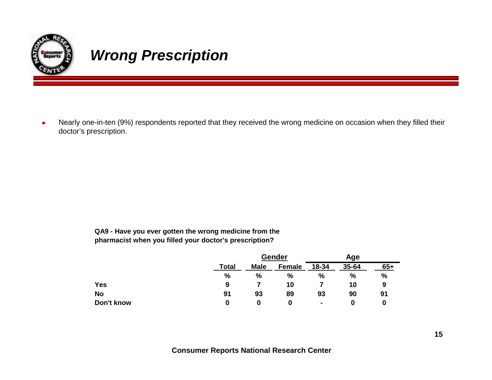

## *Wrong Prescription*

 $\bullet$  Nearly one-in-ten (9%) respondents reported that they received the wrong medicine on occasion when they filled their doctor's prescription.

> **QA9 - Have you ever gotten the wrong medicine from the pharmacist when you filled your doctor's prescription?**

|            |       |             | Gender        |       | Age           |       |  |
|------------|-------|-------------|---------------|-------|---------------|-------|--|
|            | Total | <b>Male</b> | <b>Female</b> | 18-34 | 35-64         | $65+$ |  |
|            | %     | %           | $\%$          | %     | $\frac{9}{6}$ | %     |  |
| <b>Yes</b> | 9     |             | 10            |       | 10            | 9     |  |
| <b>No</b>  | 91    | 93          | 89            | 93    | 90            | 91    |  |
| Don't know | 0     | 0           | O             |       |               |       |  |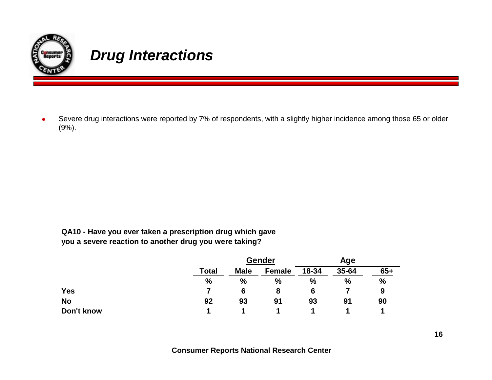

### *Drug Interactions*

 $\bullet$  Severe drug interactions were reported by 7% of respondents, with a slightly higher incidence among those 65 or older (9%).

**QA10 - Have you ever taken a prescription drug which gave you a severe reaction to another drug you were taking?**

|            |              | Gender      |               | Age   |       |       |
|------------|--------------|-------------|---------------|-------|-------|-------|
|            | <b>Total</b> | <b>Male</b> | <b>Female</b> | 18-34 | 35-64 | $65+$ |
|            | %            | %           | $\frac{0}{0}$ | %     | %     | %     |
| Yes        |              | 6           | 8             | 6     |       | 9     |
| <b>No</b>  | 92           | 93          | 91            | 93    | 91    | 90    |
| Don't know |              |             |               |       |       |       |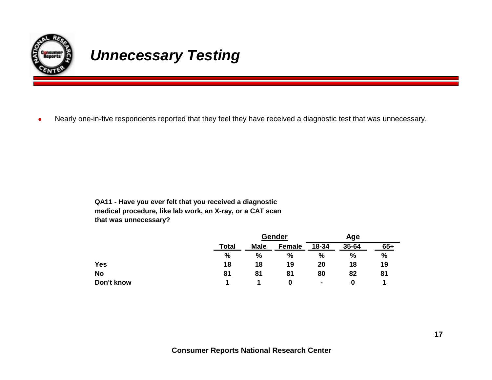

## *Unnecessary Testing*

 $\bullet$ Nearly one-in-five respondents reported that they feel they have received a diagnostic test that was unnecessary.

> **QA11 - Have you ever felt that you received a diagnostic medical procedure, like lab work, an X-ray, or a CAT scan that was unnecessary?**

|            |              |             | Gender        |                | Age           |       |  |
|------------|--------------|-------------|---------------|----------------|---------------|-------|--|
|            | <b>Total</b> | <b>Male</b> | <b>Female</b> | 18-34          | 35-64         | $65+$ |  |
|            | %            | %           | $\frac{0}{0}$ | $\frac{0}{0}$  | $\frac{9}{6}$ | %     |  |
| <b>Yes</b> | 18           | 18          | 19            | 20             | 18            | 19    |  |
| <b>No</b>  | 81           | 81          | 81            | 80             | 82            | 81    |  |
| Don't know |              |             | 0             | $\blacksquare$ |               |       |  |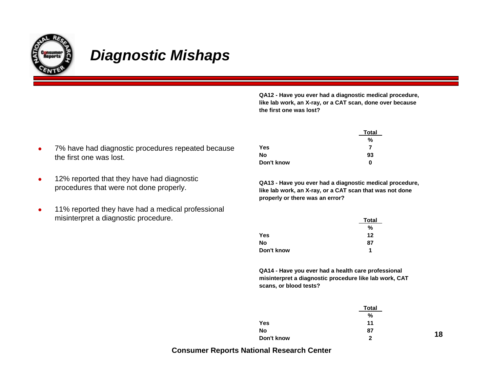

### *Diagnostic Mishaps*

**QA12 - Have you ever had a diagnostic medical procedure, like lab work, an X-ray, or a CAT scan, done over because the first one was lost?**

- O 7% have had diagnostic procedures repeated because the first one was lost.
- $\bullet$  12% reported that they have had diagnostic procedures that were not done properly.
- O 11% reported they have had a medical professional misinterpret a diagnostic procedure.

|            | <b>Total</b> |
|------------|--------------|
|            | %            |
| Yes        | 7            |
| No         | 93           |
| Don't know | 0            |

**QA13 - Have you ever had a diagnostic medical procedure, like lab work, an X-ray, or a CAT scan that was not done properly or there was an error?**

|            | <b>Total</b> |
|------------|--------------|
|            | %            |
| Yes        | 12           |
| No         | 87           |
| Don't know | 1            |

**QA14 - Have you ever had a health care professional misinterpret a diagnostic procedure like lab work, CAT scans, or blood tests?**

|            | <b>Total</b> |    |
|------------|--------------|----|
|            | %            |    |
| Yes        | 11           |    |
| No         | 87           |    |
| Don't know | 2            | 18 |

**Consumer Reports National Research Center**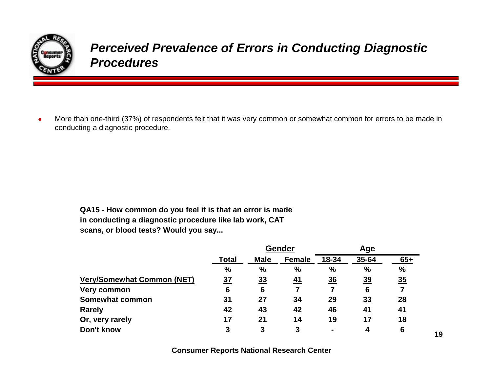

### *Perceived Prevalence of Errors in Conducting Diagnostic Procedures*

 $\bullet$  More than one-third (37%) of respondents felt that it was very common or somewhat common for errors to be made in conducting a diagnostic procedure.

> **QA15 - How common do you feel it is that an error is made in conducting a diagnostic procedure like lab work, CAT scans, or blood tests? Would you say...**

|                                   | Gender        |                |             | Age            |                |               |       |
|-----------------------------------|---------------|----------------|-------------|----------------|----------------|---------------|-------|
|                                   | <b>Total</b>  |                | <b>Male</b> | <b>Female</b>  | 18-34          | 35-64         | $65+$ |
|                                   | $\frac{9}{6}$ | $\%$           | %           | $\frac{0}{0}$  | $\frac{0}{0}$  | $\frac{0}{0}$ |       |
| <b>Very/Somewhat Common (NET)</b> | 37            | $\frac{33}{2}$ | 41          | $\frac{36}{5}$ | $\frac{39}{2}$ | 35            |       |
| Very common                       | 6             | 6              | 7           |                | 6              |               |       |
| Somewhat common                   | 31            | 27             | 34          | 29             | 33             | 28            |       |
| <b>Rarely</b>                     | 42            | 43             | 42          | 46             | 41             | 41            |       |
| Or, very rarely                   | 17            | 21             | 14          | 19             | 17             | 18            |       |
| Don't know                        | 3             | 3              | 3           |                |                | 6             |       |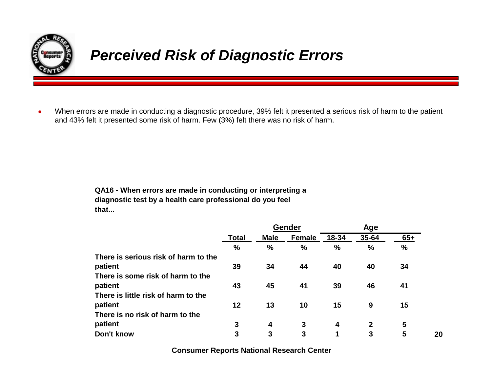

## *Perceived Risk of Diagnostic Errors*

 $\bullet$  When errors are made in conducting a diagnostic procedure, 39% felt it presented a serious risk of harm to the patient and 43% felt it presented some risk of harm. Few (3%) felt there was no risk of harm.

> **QA16 - When errors are made in conducting or interpreting a diagnostic test by a health care professional do you feel that...**

|                                      |               | Gender        |               | Age           |             |               |
|--------------------------------------|---------------|---------------|---------------|---------------|-------------|---------------|
|                                      | <b>Total</b>  | <b>Male</b>   | <b>Female</b> | 18-34         | 35-64       | $65+$         |
|                                      | $\frac{0}{0}$ | $\frac{9}{6}$ | $\frac{0}{0}$ | $\frac{0}{0}$ | $\%$        | $\frac{0}{0}$ |
| There is serious risk of harm to the |               |               |               |               |             |               |
| patient                              | 39            | 34            | 44            | 40            | 40          | 34            |
| There is some risk of harm to the    |               |               |               |               |             |               |
| patient                              | 43            | 45            | 41            | 39            | 46          | 41            |
| There is little risk of harm to the  |               |               |               |               |             |               |
| patient                              | 12            | 13            | 10            | 15            | 9           | 15            |
| There is no risk of harm to the      |               |               |               |               |             |               |
| patient                              | 3             | 4             | 3             | 4             | $\mathbf 2$ | 5             |
| Don't know                           | 3             | 3             | 3             | 1             | 3           | 5             |

**20**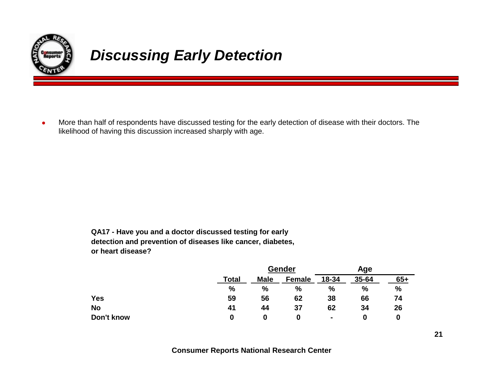

## *Discussing Early Detection*

 $\bullet$  More than half of respondents have discussed testing for the early detection of disease with their doctors. The likelihood of having this discussion increased sharply with age.

> **QA17 - Have you and a doctor discussed testing for early detection and prevention of diseases like cancer, diabetes, or heart disease?**

|            |       |               | Gender        |       |               |       |
|------------|-------|---------------|---------------|-------|---------------|-------|
|            | Total | <b>Male</b>   | <b>Female</b> | 18-34 | 35-64         | $65+$ |
|            | $\%$  | $\frac{0}{0}$ | %             | %     | $\frac{0}{0}$ | $\%$  |
| <b>Yes</b> | 59    | 56            | 62            | 38    | 66            | 74    |
| <b>No</b>  | 41    | 44            | 37            | 62    | 34            | 26    |
| Don't know | 0     | 0             | 0             | ۰     | O             | 0     |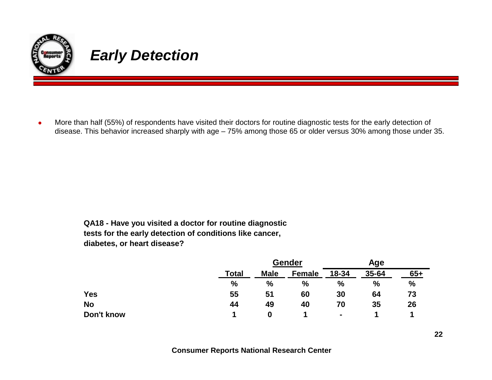

### *Early Detection*

O More than half (55%) of respondents have visited their doctors for routine diagnostic tests for the early detection of disease. This behavior increased sharply with age – 75% among those 65 or older versus 30% among those under 35.

> **QA18 - Have you visited a doctor for routine diagnostic tests for the early detection of conditions like cancer, diabetes, or heart disease?**

|            |              |             | <b>Gender</b> | Age            |               |       |
|------------|--------------|-------------|---------------|----------------|---------------|-------|
|            | <b>Total</b> | <b>Male</b> | <b>Female</b> | 18-34          | 35-64         | $65+$ |
|            | %            | $\%$        | $\%$          | $\frac{0}{0}$  | $\frac{0}{0}$ | %     |
| <b>Yes</b> | 55           | 51          | 60            | 30             | 64            | 73    |
| No         | 44           | 49          | 40            | 70             | 35            | 26    |
| Don't know |              | 0           |               | $\blacksquare$ |               |       |